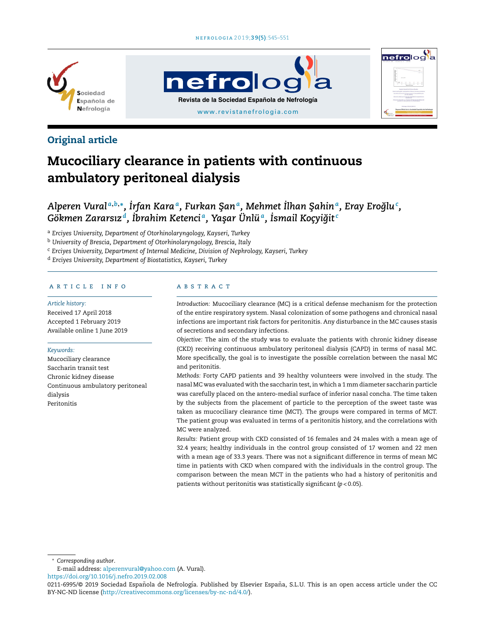

# **nefrolog Revista de la Sociedad Española de Nefrología** [www.revistanefrologia.com](http://www.revistanefrologia.com)



# Original article

# Mucociliary clearance in patients with continuous ambulatory peritoneal dialysis

# Alperen Vural ${}^{a,b,\ast},$  İrfan Kara ${}^{a}$ , Furkan Şan ${}^{a}$ , Mehmet İlhan Şahin ${}^{a}$ , Eray Eroğlu ${}^{\mathfrak{c}}$ ,  $G$ ökmen Zararsız $^d$ , İbrahim Ketenci $^a$ , Yaşar Ünlü $^a$ , İsmail Koçyiğit $^c$

<sup>a</sup> *Erciyes University, Department of Otorhinolaryngology, Kayseri, Turkey*

<sup>b</sup> *University of Brescia, Department of Otorhinolaryngology, Brescia, Italy*

<sup>c</sup> *Erciyes University, Department of Internal Medicine, Division of Nephrology, Kayseri, Turkey*

<sup>d</sup> *Erciyes University, Department of Biostatistics, Kayseri, Turkey*

#### a r t i c l e i n f o

*Article history:* Received 17 April 2018 Accepted 1 February 2019 Available online 1 June 2019

#### *Keywords:*

Mucociliary clearance Saccharin transit test Chronic kidney disease Continuous ambulatory peritoneal dialysis Peritonitis

#### A B S T R A C T

*Introduction:* Mucociliary clearance (MC) is a critical defense mechanism for the protection of the entire respiratory system. Nasal colonization of some pathogens and chronical nasal infections are important risk factors for peritonitis. Any disturbance in the MC causes stasis of secretions and secondary infections.

*Objective:* The aim of the study was to evaluate the patients with chronic kidney disease (CKD) receiving continuous ambulatory peritoneal dialysis (CAPD) in terms of nasal MC. More specifically, the goal is to investigate the possible correlation between the nasal MC and peritonitis.

*Methods:* Forty CAPD patients and 39 healthy volunteers were involved in the study. The nasal MC was evaluated with the saccharin test, in which a 1 mm diameter saccharin particle was carefully placed on the antero-medial surface of inferior nasal concha. The time taken by the subjects from the placement of particle to the perception of the sweet taste was taken as mucociliary clearance time (MCT). The groups were compared in terms of MCT. The patient group was evaluated in terms of a peritonitis history, and the correlations with MC were analyzed.

*Results:* Patient group with CKD consisted of 16 females and 24 males with a mean age of 32.4 years; healthy individuals in the control group consisted of 17 women and 22 men with a mean age of 33.3 years. There was not a significant difference in terms of mean MC time in patients with CKD when compared with the individuals in the control group. The comparison between the mean MCT in the patients who had a history of peritonitis and patients without peritonitis was statistically significant (*p* < 0.05).

<sup>∗</sup> *Corresponding author*.

E-mail address: [alperenvural@yahoo.com](mailto:alperenvural@yahoo.com) (A. Vural).

<https://doi.org/10.1016/j.nefro.2019.02.008>

<sup>0211-6995/© 2019</sup> Sociedad Española de Nefrología. Published by Elsevier España, S.L.U. This is an open access article under the CC BY-NC-ND license (<http://creativecommons.org/licenses/by-nc-nd/4.0/>).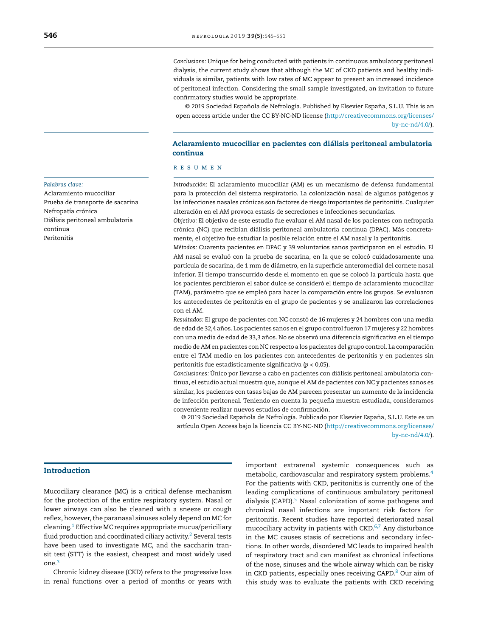*Conclusions:* Unique for being conducted with patients in continuous ambulatory peritoneal dialysis, the current study shows that although the MC of CKD patients and healthy individuals is similar, patients with low rates of MC appear to present an increased incidence of peritoneal infection. Considering the small sample investigated, an invitation to future confirmatory studies would be appropriate.

© 2019 Sociedad Española de Nefrología. Published by Elsevier España, S.L.U. This is an open access article under the CC BY-NC-ND license [\(http://creativecommons.org/licenses/](http://creativecommons.org/licenses/by-nc-nd/4.0/) [by-nc-nd/4.0/\)](http://creativecommons.org/licenses/by-nc-nd/4.0/).

# Aclaramiento mucociliar en pacientes con diálisis peritoneal ambulatoria continua

# r e s u m e n

*Introducción:* El aclaramiento mucociliar (AM) es un mecanismo de defensa fundamental para la protección del sistema respiratorio. La colonización nasal de algunos patógenos y las infecciones nasales crónicas son factores de riesgo importantes de peritonitis. Cualquier alteración en el AM provoca estasis de secreciones e infecciones secundarias.

*Objetivo:* El objetivo de este estudio fue evaluar el AM nasal de los pacientes con nefropatía crónica (NC) que recibían diálisis peritoneal ambulatoria continua (DPAC). Más concretamente, el objetivo fue estudiar la posible relación entre el AM nasal y la peritonitis.

*Métodos:* Cuarenta pacientes en DPAC y 39 voluntarios sanos participaron en el estudio. El AM nasal se evaluó con la prueba de sacarina, en la que se colocó cuidadosamente una partícula de sacarina, de 1 mm de diámetro, en la superficie anteromedial del cornete nasal inferior. El tiempo transcurrido desde el momento en que se colocó la partícula hasta que los pacientes percibieron el sabor dulce se consideró el tiempo de aclaramiento mucociliar (TAM), parámetro que se empleó para hacer la comparación entre los grupos. Se evaluaron los antecedentes de peritonitis en el grupo de pacientes y se analizaron las correlaciones con el AM.

*Resultados:* El grupo de pacientes con NC constó de 16 mujeres y 24 hombres con una media de edad de 32,4 años. Los pacientes sanos en el grupo control fueron 17 mujeres y 22 hombres con una media de edad de 33,3 años. No se observó una diferencia significativa en el tiempo medio de AM en pacientes con NC respecto a los pacientes del grupo control. La comparación entre el TAM medio en los pacientes con antecedentes de peritonitis y en pacientes sin peritonitis fue estadísticamente significativa (*p* < 0,05).

*Conclusiones:* Único por llevarse a cabo en pacientes con diálisis peritoneal ambulatoria continua, el estudio actual muestra que, aunque el AM de pacientes con NC y pacientes sanos es similar, los pacientes con tasas bajas de AM parecen presentar un aumento de la incidencia de infección peritoneal. Teniendo en cuenta la pequeña muestra estudiada, consideramos conveniente realizar nuevos estudios de confirmación.

© 2019 Sociedad Española de Nefrología. Publicado por Elsevier España, S.L.U. Este es un artículo Open Access bajo la licencia CC BY-NC-ND [\(http://creativecommons.org/licenses/](http://creativecommons.org/licenses/by-nc-nd/4.0/) [by-nc-nd/4.0/\)](http://creativecommons.org/licenses/by-nc-nd/4.0/).

# Introduction

Mucociliary clearance (MC) is a critical defense mechanism for the protection of the entire respiratory system. Nasal or lower airways can also be cleaned with a sneeze or cough reflex, however, the paranasal sinuses solely depend on MC for cleaning.<sup>1</sup> [E](#page-5-0)ffective MC requires appropriate mucus/periciliary fluid production and coordinated ciliary activity.<sup>[2](#page-5-0)</sup> Several tests have been used to investigate MC, and the saccharin transit test (STT) is the easiest, cheapest and most widely used one.[3](#page-5-0)

Chronic kidney disease (CKD) refers to the progressive loss in renal functions over a period of months or years with important extrarenal systemic consequences such as metabolic, cardiovascular and respiratory system problems.[4](#page-5-0) For the patients with CKD, peritonitis is currently one of the leading complications of continuous ambulatory peritoneal dialysis (CAPD).<sup>[5](#page-5-0)</sup> Nasal colonization of some pathogens and chronical nasal infections are important risk factors for peritonitis. Recent studies have reported deteriorated nasal mucociliary activity in patients with CKD.[6,7](#page-5-0) Any disturbance in the MC causes stasis of secretions and secondary infections. In other words, disordered MC leads to impaired health of respiratory tract and can manifest as chronical infections of the nose, sinuses and the whole airway which can be risky in CKD patients, especially ones receiving CAPD.<sup>[8](#page-5-0)</sup> Our aim of this study was to evaluate the patients with CKD receiving

#### *Palabras clave:*

Aclaramiento mucociliar Prueba de transporte de sacarina Nefropatía crónica Diálisis peritoneal ambulatoria continua Peritonitis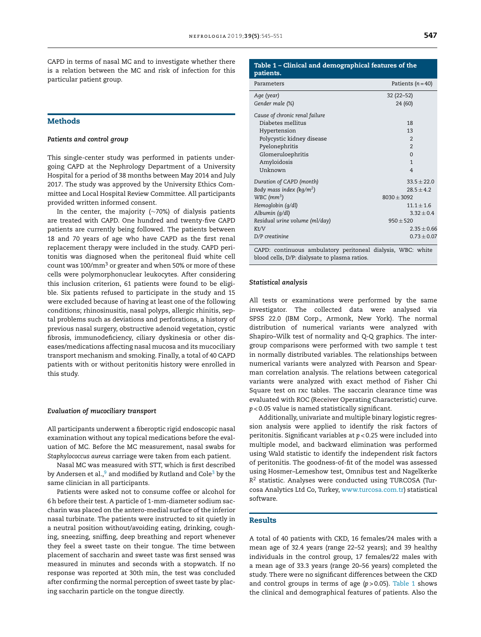CAPD in terms of nasal MC and to investigate whether there is a relation between the MC and risk of infection for this particular patient group.

# Methods

#### *Patients and control group*

This single-center study was performed in patients undergoing CAPD at the Nephrology Department of a University Hospital for a period of 38 months between May 2014 and July 2017. The study was approved by the University Ethics Committee and Local Hospital Review Committee. All participants provided written informed consent.

In the center, the majority (∼70%) of dialysis patients are treated with CAPD. One hundred and twenty-five CAPD patients are currently being followed. The patients between 18 and 70 years of age who have CAPD as the first renal replacement therapy were included in the study. CAPD peritonitis was diagnosed when the peritoneal fluid white cell count was 100/mm<sup>3</sup> or greater and when 50% or more of these cells were polymorphonuclear leukocytes. After considering this inclusion criterion, 61 patients were found to be eligible. Six patients refused to participate in the study and 15 were excluded because of having at least one of the following conditions; rhinosinusitis, nasal polyps, allergic rhinitis, septal problems such as deviations and perforations, a history of previous nasal surgery, obstructive adenoid vegetation, cystic fibrosis, immunodeficiency, ciliary dyskinesia or other diseases/medications affecting nasal mucosa and its mucociliary transport mechanism and smoking. Finally, a total of 40 CAPD patients with or without peritonitis history were enrolled in this study.

#### *Evaluation of mucociliary transport*

All participants underwent a fiberoptic rigid endoscopic nasal examination without any topical medications before the evaluation of MC. Before the MC measurement, nasal swabs for *Staphylococcus aureus* carriage were taken from each patient.

Nasal MC was measured with STT, which is first described by Andersen et [a](#page-5-0)l., $9$  and modified by Rutland and Cole<sup>[3](#page-5-0)</sup> by the same clinician in all participants.

Patients were asked not to consume coffee or alcohol for 6h before their test. A particle of 1-mm-diameter sodium saccharin was placed on the antero-medial surface of the inferior nasal turbinate. The patients were instructed to sit quietly in a neutral position without/avoiding eating, drinking, coughing, sneezing, sniffing, deep breathing and report whenever they feel a sweet taste on their tongue. The time between placement of saccharin and sweet taste was first sensed was measured in minutes and seconds with a stopwatch. If no response was reported at 30th min, the test was concluded after confirming the normal perception of sweet taste by placing saccharin particle on the tongue directly.

# Table 1 – Clinical and demographical features of the patients.

| Parameters                           | Patients ( $n = 40$ ) |  |
|--------------------------------------|-----------------------|--|
| Age (year)                           | $32(22 - 52)$         |  |
| Gender male (%)                      | 24 (60)               |  |
| Cause of chronic renal failure       |                       |  |
| Diabetes mellitus                    | 18                    |  |
| Hypertension                         | 13                    |  |
| Polycystic kidney disease            | $\overline{2}$        |  |
| Pyelonephritis                       | $\overline{2}$        |  |
| Glomeruloephritis                    | $\Omega$              |  |
| Amyloidosis                          | $\mathbf{1}$          |  |
| Unknown                              | $\overline{4}$        |  |
| Duration of CAPD (month)             | $33.5 \pm 22.0$       |  |
| Body mass index (kg/m <sup>2</sup> ) | $28.5 + 4.2$          |  |
| WBC $(mm3)$                          | $8030 \pm 3092$       |  |
| Hemoglobin (g/dl)                    | $11.1 + 1.6$          |  |
| Albumin (g/dl)                       | $3.32 \pm 0.4$        |  |
| Residual urine volume (ml/day)       | $950 + 520$           |  |
| Kt/V                                 | $2.35 \pm 0.66$       |  |
| D/P creatinine                       | $0.73 \pm 0.07$       |  |
|                                      |                       |  |

CAPD: continuous ambulatory peritoneal dialysis, WBC: white blood cells, D/P: dialysate to plasma ratios.

#### *Statistical analysis*

All tests or examinations were performed by the same investigator. The collected data were analysed via SPSS 22.0 (IBM Corp., Armonk, New York). The normal distribution of numerical variants were analyzed with Shapiro–Wilk test of normality and Q-Q graphics. The intergroup comparisons were performed with two sample t test in normally distributed variables. The relationships between numerical variants were analyzed with Pearson and Spearman correlation analysis. The relations between categorical variants were analyzed with exact method of Fisher Chi Square test on rxc tables. The saccarin clearance time was evaluated with ROC (Receiver Operating Characteristic) curve. *p* < 0.05 value is named statistically significant.

Additionally, univariate and multiple binary logistic regression analysis were applied to identify the risk factors of peritonitis. Significant variables at *p* < 0.25 were included into multiple model, and backward elimination was performed using Wald statistic to identify the independent risk factors of peritonitis. The goodness-of-fit of the model was assessed using Hosmer–Lemeshow test, Omnibus test and Nagelkerke *R* <sup>2</sup> statistic. Analyses were conducted using TURCOSA (Turcosa Analytics Ltd Co, Turkey, [www.turcosa.com.tr](http://www.turcosa.com.tr/)) statistical software.

## Results

A total of 40 patients with CKD, 16 females/24 males with a mean age of 32.4 years (range 22–52 years); and 39 healthy individuals in the control group, 17 females/22 males with a mean age of 33.3 years (range 20–56 years) completed the study. There were no significant differences between the CKD and control groups in terms of age (*p* > 0.05). Table 1 shows the clinical and demographical features of patients. Also the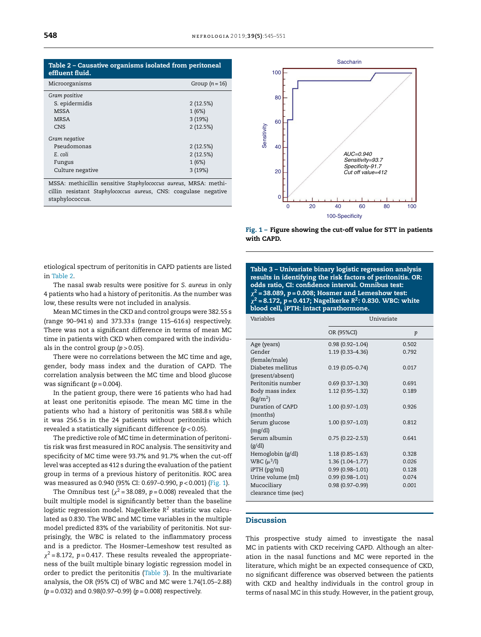| Table 2 - Causative organisms isolated from peritoneal<br>effluent fluid. |                |  |
|---------------------------------------------------------------------------|----------------|--|
| Microorganisms                                                            | Group $(n=16)$ |  |
| Gram positive                                                             |                |  |
| S. epidermidis                                                            | 2(12.5%)       |  |
| MSSA                                                                      | 1(6%)          |  |
| <b>MRSA</b>                                                               | 3(19%)         |  |
| CNS                                                                       | 2(12.5%)       |  |
| Gram negative                                                             |                |  |
| Pseudomonas                                                               | 2(12.5%)       |  |
| E. coli                                                                   | 2(12.5%)       |  |
| Fungus                                                                    | 1(6%)          |  |
| Culture negative                                                          | 3(19%)         |  |

MSSA: methicillin sensitive *Staphylococcus aureus*, MRSA: methicillin resistant *Staphylococcus aureus*, CNS: coagulase negative staphylococcus.



Fig. 1 – Figure showing the cut-off value for STT in patients with CAPD.

etiological spectrum of peritonitis in CAPD patients are listed in Table 2.

The nasal swab results were positive for *S. aureus* in only 4 patients who had a history of peritonitis. As the number was low, these results were not included in analysis.

Mean MC times in the CKD and control groups were 382.55 s (range 90–941 s) and 373.33 s (range 115–616 s) respectively. There was not a significant difference in terms of mean MC time in patients with CKD when compared with the individuals in the control group  $(p > 0.05)$ .

There were no correlations between the MC time and age, gender, body mass index and the duration of CAPD. The correlation analysis between the MC time and blood glucose was significant  $(p = 0.004)$ .

In the patient group, there were 16 patients who had had at least one peritonitis episode. The mean MC time in the patients who had a history of peritonitis was 588.8 s while it was 256.5 s in the 24 patients without peritonitis which revealed a statistically significant difference (*p* < 0.05).

The predictive role of MC time in determination of peritonitis risk was first measured in ROC analysis. The sensitivity and specificity of MC time were 93.7% and 91.7% when the cut-off level was accepted as 412 s during the evaluation of the patient group in terms of a previous history of peritonitis. ROC area was measured as 0.940 (95% CI: 0.697–0.990, *p* < 0.001) (Fig. 1).

The Omnibus test ( $\chi^2$ =38.089, p=0.008) revealed that the built multiple model is significantly better than the baseline logistic regression model. Nagelkerke *R* <sup>2</sup> statistic was calculated as 0.830. The WBC and MC time variables in the multiple model predicted 83% of the variability of peritonitis. Not surprisingly, the WBC is related to the inflammatory process and is a predictor. The Hosmer–Lemeshow test resulted as  $\chi^2$  = 8.172,  $p$  = 0.417. These results revealed the appropriateness of the built multiple binary logistic regression model in order to predict the peritonitis (Table 3). In the multivariate analysis, the OR (95% CI) of WBC and MC were 1.74(1.05–2.88) (*p* = 0.032) and 0.98(0.97–0.99) (*p* = 0.008) respectively.

Table 3 – Univariate binary logistic regression analysis results in identifying the risk factors of peritonitis. OR: odds ratio, CI: confidence interval. Omnibus test:  $\chi$  $2$  = 38.089,  $p$  = 0.008; Hosmer and Lemeshow test: <sup>2</sup> = 8.172, *p* = 0.417; Nagelkerke *R* 2 : 0.830. WBC: white blood cell, iPTH: intact parathormone.

| Variables            | Univariate          |                  |  |
|----------------------|---------------------|------------------|--|
|                      | OR (95%CI)          | $\boldsymbol{p}$ |  |
| Age (years)          | $0.98(0.92 - 1.04)$ | 0.502            |  |
| Gender               | $1.19(0.33 - 4.36)$ | 0.792            |  |
| (female/male)        |                     |                  |  |
| Diabetes mellitus    | $0.19(0.05 - 0.74)$ | 0.017            |  |
| (present/absent)     |                     |                  |  |
| Peritonitis number   | $0.69(0.37 - 1.30)$ | 0.691            |  |
| Body mass index      | 1.12 (0.95-1.32)    | 0.189            |  |
| $\text{kg/m}^2$      |                     |                  |  |
| Duration of CAPD     | $1.00(0.97 - 1.03)$ | 0.926            |  |
| (months)             |                     |                  |  |
| Serum glucose        | $1.00(0.97 - 1.03)$ | 0.812            |  |
| (mg/dl)              |                     |                  |  |
| Serum albumin        | $0.75(0.22 - 2.53)$ | 0.641            |  |
| (g/dl)               |                     |                  |  |
| Hemoglobin (g/dl)    | $1.18(0.85 - 1.63)$ | 0.328            |  |
| WBC $(\mu^3/l)$      | 1.36 (1.04-1.77)    | 0.026            |  |
| $iPTH$ ( $pg/ml$ )   | $0.99(0.98 - 1.01)$ | 0.128            |  |
| Urine volume (ml)    | $0.99(0.98 - 1.01)$ | 0.074            |  |
| Mucociliary          | $0.98(0.97 - 0.99)$ | 0.001            |  |
| clearance time (sec) |                     |                  |  |
|                      |                     |                  |  |

## Discussion

This prospective study aimed to investigate the nasal MC in patients with CKD receiving CAPD. Although an alteration in the nasal functions and MC were reported in the literature, which might be an expected consequence of CKD, no significant difference was observed between the patients with CKD and healthy individuals in the control group in terms of nasal MC in this study. However, in the patient group,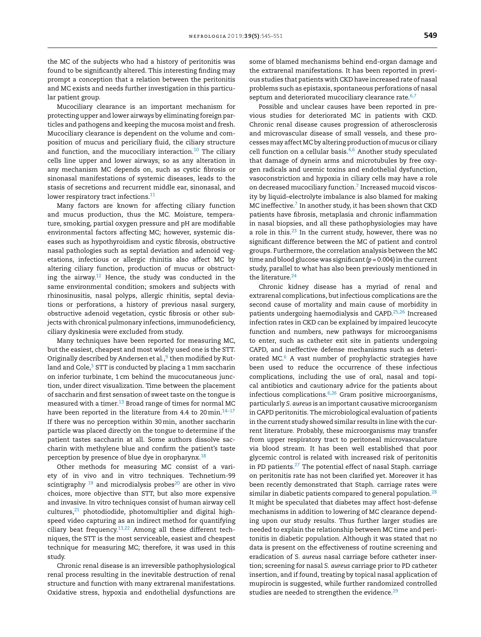the MC of the subjects who had a history of peritonitis was found to be significantly altered. This interesting finding may prompt a conception that a relation between the peritonitis and MC exists and needs further investigation in this particular patient group.

Mucociliary clearance is an important mechanism for protecting upper and lower airways by eliminating foreign particles and pathogens and keeping the mucosa moist and fresh. Mucociliary clearance is dependent on the volume and composition of mucus and periciliary fluid, the ciliary structure and function, and the mucociliary interaction. $10$  The ciliary cells line upper and lower airways; so as any alteration in any mechanism MC depends on, such as cystic fibrosis or sinonasal manifestations of systemic diseases, leads to the stasis of secretions and recurrent middle ear, sinonasal, and lower respiratory tract infections.<sup>[11](#page-5-0)</sup>

Many factors are known for affecting ciliary function and mucus production, thus the MC. Moisture, temperature, smoking, partial oxygen pressure and pH are modifiable environmental factors affecting MC; however, systemic diseases such as hypothyroidism and cystic fibrosis, obstructive nasal pathologies such as septal deviation and adenoid vegetations, infectious or allergic rhinitis also affect MC by altering ciliary function, production of mucus or obstruct-ing the airway.<sup>[12](#page-5-0)</sup> Hence, the study was conducted in the same environmental condition; smokers and subjects with rhinosinusitis, nasal polyps, allergic rhinitis, septal deviations or perforations, a history of previous nasal surgery, obstructive adenoid vegetation, cystic fibrosis or other subjects with chronical pulmonary infections, immunodeficiency, ciliary dyskinesia were excluded from study.

Many techniques have been reported for measuring MC, but the easiest, cheapest and most widely used one is the STT. Originally described by Andersen et al.,<sup>9</sup> [th](#page-5-0)en modified by Rutland and Cole, $^3$  $^3$  STT is conducted by placing a 1 mm saccharin on inferior turbinate, 1 cm behind the mucocutaneous junction, under direct visualization. Time between the placement of saccharin and first sensation of sweet taste on the tongue is measured with a timer.<sup>[13](#page-5-0)</sup> Broad range of times for normal MC have been reported in the literature from 4.4 to 20 min. $14-17$ If there was no perception within 30min, another saccharin particle was placed directly on the tongue to determine if the patient tastes saccharin at all. Some authors dissolve saccharin with methylene blue and confirm the patient's taste perception by presence of blue dye in oropharynx.<sup>[18](#page-5-0)</sup>

Other methods for measuring MC consist of a variety of in vivo and in vitro techniques. Technetium-99 scintigraphy  $19$  and microdialysis probes<sup>[20](#page-6-0)</sup> are other in vivo choices, more objective than STT, but also more expensive and invasive. In vitro techniques consist of human airway cell cultures, $21$  photodiodide, photomultiplier and digital highspeed video capturing as an indirect method for quantifying ciliary beat frequency. $13,22$  Among all these different techniques, the STT is the most serviceable, easiest and cheapest technique for measuring MC; therefore, it was used in this study.

Chronic renal disease is an irreversible pathophysiological renal process resulting in the inevitable destruction of renal structure and function with many extrarenal manifestations. Oxidative stress, hypoxia and endothelial dysfunctions are some of blamed mechanisms behind end-organ damage and the extrarenal manifestations. It has been reported in previous studies that patients with CKD have increased rate of nasal problems such as epistaxis, spontaneous perforations of nasal septum and deteriorated mucociliary clearance rate.<sup>[6,7](#page-5-0)</sup>

Possible and unclear causes have been reported in previous studies for deteriorated MC in patients with CKD. Chronic renal disease causes progression of atherosclerosis and microvascular disease of small vessels, and these processes may affect MC by altering production of mucus or ciliary cell function on a cellular basis.<sup>[4,6](#page-5-0)</sup> Another study speculated that damage of dynein arms and microtubules by free oxygen radicals and uremic toxins and endothelial dysfunction, vasoconstriction and hypoxia in ciliary cells may have a role on decreased mucociliary function.<sup>7</sup> [In](#page-5-0)creased mucoid viscosity by liquid–electrolyte imbalance is also blamed for making MC ineffective.<sup>[7](#page-5-0)</sup> In another study, it has been shown that CKD patients have fibrosis, metaplasia and chronic inflammation in nasal biopsies, and all these pathophysiologies may have a role in this.<sup>[23](#page-6-0)</sup> In the current study, however, there was no significant difference between the MC of patient and control groups. Furthermore, the correlation analysis between the MC time and blood glucose was significant(*p* = 0.004) in the current study, parallel to what has also been previously mentioned in the literature.<sup>[24](#page-6-0)</sup>

Chronic kidney disease has a myriad of renal and extrarenal complications, but infectious complications are the second cause of mortality and main cause of morbidity in patients undergoing haemodialysis and CAPD.[25,26](#page-6-0) Increased infection rates in CKD can be explained by impaired leucocyte function and numbers, new pathways for microorganisms to enter, such as catheter exit site in patients undergoing CAPD, and ineffective defense mechanisms such as deteriorated MC. $6$  A vast number of prophylactic strategies have been used to reduce the occurrence of these infectious complications, including the use of oral, nasal and topical antibiotics and cautionary advice for the patients about infectious complications.[6,26](#page-5-0) Gram positive microorganisms, particularly *S. aureus* is an important causative microorganism in CAPD peritonitis. The microbiological evaluation of patients in the current study showed similar results in line with the current literature. Probably, these microorganisms may transfer from upper respiratory tract to peritoneal microvasculature via blood stream. It has been well established that poor glycemic control is related with increased risk of peritonitis in PD patients.<sup>[27](#page-6-0)</sup> The potential effect of nasal Staph. carriage on peritonitis rate has not been clarified yet. Moreover it has been recently demonstrated that Staph. carriage rates were similar in diabetic patients compared to general population.<sup>[28](#page-6-0)</sup> It might be speculated that diabetes may affect host-defense mechanisms in addition to lowering of MC clearance depending upon our study results. Thus further larger studies are needed to explain the relationship between MC time and peritonitis in diabetic population. Although it was stated that no data is present on the effectiveness of routine screening and eradication of *S. aureus* nasal carriage before catheter insertion; screening for nasal *S. aureus* carriage prior to PD catheter insertion, and if found, treating by topical nasal application of mupirocin is suggested, while further randomized controlled studies are needed to strengthen the evidence. $^{29}$  $^{29}$  $^{29}$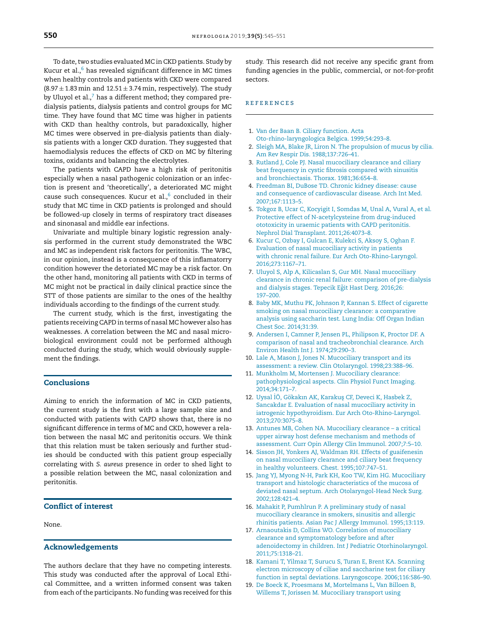<span id="page-5-0"></span>To date, two studies evaluated MC in CKD patients. Study by Kucur et al., $6$  has revealed significant difference in MC times when healthy controls and patients with CKD were compared  $(8.97 \pm 1.83 \text{ min and } 12.51 \pm 3.74 \text{ min, respectively})$ . The study by Uluyol et al., $^7$  has a different method; they compared predialysis patients, dialysis patients and control groups for MC time. They have found that MC time was higher in patients with CKD than healthy controls, but paradoxically, higher MC times were observed in pre-dialysis patients than dialysis patients with a longer CKD duration. They suggested that haemodialysis reduces the effects of CKD on MC by filtering toxins, oxidants and balancing the electrolytes.

The patients with CAPD have a high risk of peritonitis especially when a nasal pathogenic colonization or an infection is present and 'theoretically', a deteriorated MC might cause such consequences. Kucur et al., $^6$  concluded in their study that MC time in CKD patients is prolonged and should be followed-up closely in terms of respiratory tract diseases and sinonasal and middle ear infections.

Univariate and multiple binary logistic regression analysis performed in the current study demonstrated the WBC and MC as independent risk factors for peritonitis. The WBC, in our opinion, instead is a consequence of this inflamatorry condition however the detoriated MC may be a risk factor. On the other hand, monitoring all patients with CKD in terms of MC might not be practical in daily clinical practice since the STT of those patients are similar to the ones of the healthy individuals according to the findings of the current study.

The current study, which is the first, investigating the patients receiving CAPD in terms of nasal MC however also has weaknesses. A correlation between the MC and nasal microbiological environment could not be performed although conducted during the study, which would obviously supplement the findings.

# Conclusions

Aiming to enrich the information of MC in CKD patients, the current study is the first with a large sample size and conducted with patients with CAPD shows that, there is no significant difference in terms of MC and CKD, however a relation between the nasal MC and peritonitis occurs. We think that this relation must be taken seriously and further studies should be conducted with this patient group especially correlating with *S. aureus* presence in order to shed light to a possible relation between the MC, nasal colonization and peritonitis.

# Conflict of interest

None.

### Acknowledgements

The authors declare that they have no competing interests. This study was conducted after the approval of Local Ethical Committee, and a written informed consent was taken from each of the participants. No funding was received for this study. This research did not receive any specific grant from funding agencies in the public, commercial, or not-for-profit sectors.

# r e f e r enc e s

- 1. [Van](http://refhub.elsevier.com/S0211-6995(19)30080-3/sbref0150) [der](http://refhub.elsevier.com/S0211-6995(19)30080-3/sbref0150) [Baan](http://refhub.elsevier.com/S0211-6995(19)30080-3/sbref0150) [B.](http://refhub.elsevier.com/S0211-6995(19)30080-3/sbref0150) [Ciliary](http://refhub.elsevier.com/S0211-6995(19)30080-3/sbref0150) [function.](http://refhub.elsevier.com/S0211-6995(19)30080-3/sbref0150) [Acta](http://refhub.elsevier.com/S0211-6995(19)30080-3/sbref0150) [Oto-rhino-laryngologica](http://refhub.elsevier.com/S0211-6995(19)30080-3/sbref0150) [Belgica.](http://refhub.elsevier.com/S0211-6995(19)30080-3/sbref0150) [1999;54:293](http://refhub.elsevier.com/S0211-6995(19)30080-3/sbref0150)–[8.](http://refhub.elsevier.com/S0211-6995(19)30080-3/sbref0150)
- 2. [Sleigh](http://refhub.elsevier.com/S0211-6995(19)30080-3/sbref0155) [MA,](http://refhub.elsevier.com/S0211-6995(19)30080-3/sbref0155) [Blake](http://refhub.elsevier.com/S0211-6995(19)30080-3/sbref0155) [JR,](http://refhub.elsevier.com/S0211-6995(19)30080-3/sbref0155) [Liron](http://refhub.elsevier.com/S0211-6995(19)30080-3/sbref0155) [N.](http://refhub.elsevier.com/S0211-6995(19)30080-3/sbref0155) [The](http://refhub.elsevier.com/S0211-6995(19)30080-3/sbref0155) [propulsion](http://refhub.elsevier.com/S0211-6995(19)30080-3/sbref0155) [of](http://refhub.elsevier.com/S0211-6995(19)30080-3/sbref0155) [mucus](http://refhub.elsevier.com/S0211-6995(19)30080-3/sbref0155) [by](http://refhub.elsevier.com/S0211-6995(19)30080-3/sbref0155) [cilia.](http://refhub.elsevier.com/S0211-6995(19)30080-3/sbref0155) [Am](http://refhub.elsevier.com/S0211-6995(19)30080-3/sbref0155) [Rev](http://refhub.elsevier.com/S0211-6995(19)30080-3/sbref0155) [Respir](http://refhub.elsevier.com/S0211-6995(19)30080-3/sbref0155) [Dis.](http://refhub.elsevier.com/S0211-6995(19)30080-3/sbref0155) [1988;137:726–41.](http://refhub.elsevier.com/S0211-6995(19)30080-3/sbref0155)
- 3. [Rutland](http://refhub.elsevier.com/S0211-6995(19)30080-3/sbref0160) [J,](http://refhub.elsevier.com/S0211-6995(19)30080-3/sbref0160) [Cole](http://refhub.elsevier.com/S0211-6995(19)30080-3/sbref0160) [PJ.](http://refhub.elsevier.com/S0211-6995(19)30080-3/sbref0160) [Nasal](http://refhub.elsevier.com/S0211-6995(19)30080-3/sbref0160) [mucociliary](http://refhub.elsevier.com/S0211-6995(19)30080-3/sbref0160) [clearance](http://refhub.elsevier.com/S0211-6995(19)30080-3/sbref0160) [and](http://refhub.elsevier.com/S0211-6995(19)30080-3/sbref0160) [ciliary](http://refhub.elsevier.com/S0211-6995(19)30080-3/sbref0160) [beat](http://refhub.elsevier.com/S0211-6995(19)30080-3/sbref0160) [frequency](http://refhub.elsevier.com/S0211-6995(19)30080-3/sbref0160) [in](http://refhub.elsevier.com/S0211-6995(19)30080-3/sbref0160) [cystic](http://refhub.elsevier.com/S0211-6995(19)30080-3/sbref0160) [fibrosis](http://refhub.elsevier.com/S0211-6995(19)30080-3/sbref0160) [compared](http://refhub.elsevier.com/S0211-6995(19)30080-3/sbref0160) [with](http://refhub.elsevier.com/S0211-6995(19)30080-3/sbref0160) [sinusitis](http://refhub.elsevier.com/S0211-6995(19)30080-3/sbref0160) [and](http://refhub.elsevier.com/S0211-6995(19)30080-3/sbref0160) [bronchiectasis.](http://refhub.elsevier.com/S0211-6995(19)30080-3/sbref0160) [Thorax.](http://refhub.elsevier.com/S0211-6995(19)30080-3/sbref0160) [1981;36:654–8.](http://refhub.elsevier.com/S0211-6995(19)30080-3/sbref0160)
- 4. [Freedman](http://refhub.elsevier.com/S0211-6995(19)30080-3/sbref0165) [BI,](http://refhub.elsevier.com/S0211-6995(19)30080-3/sbref0165) [DuBose](http://refhub.elsevier.com/S0211-6995(19)30080-3/sbref0165) [TD.](http://refhub.elsevier.com/S0211-6995(19)30080-3/sbref0165) [Chronic](http://refhub.elsevier.com/S0211-6995(19)30080-3/sbref0165) [kidney](http://refhub.elsevier.com/S0211-6995(19)30080-3/sbref0165) [disease:](http://refhub.elsevier.com/S0211-6995(19)30080-3/sbref0165) [cause](http://refhub.elsevier.com/S0211-6995(19)30080-3/sbref0165) [and](http://refhub.elsevier.com/S0211-6995(19)30080-3/sbref0165) [consequence](http://refhub.elsevier.com/S0211-6995(19)30080-3/sbref0165) [of](http://refhub.elsevier.com/S0211-6995(19)30080-3/sbref0165) [cardiovascular](http://refhub.elsevier.com/S0211-6995(19)30080-3/sbref0165) [disease.](http://refhub.elsevier.com/S0211-6995(19)30080-3/sbref0165) [Arch](http://refhub.elsevier.com/S0211-6995(19)30080-3/sbref0165) [Int](http://refhub.elsevier.com/S0211-6995(19)30080-3/sbref0165) [Med.](http://refhub.elsevier.com/S0211-6995(19)30080-3/sbref0165) [2007;167:1113](http://refhub.elsevier.com/S0211-6995(19)30080-3/sbref0165)–[5.](http://refhub.elsevier.com/S0211-6995(19)30080-3/sbref0165)
- 5. [Tokgoz](http://refhub.elsevier.com/S0211-6995(19)30080-3/sbref0170) [B,](http://refhub.elsevier.com/S0211-6995(19)30080-3/sbref0170) [Ucar](http://refhub.elsevier.com/S0211-6995(19)30080-3/sbref0170) [C,](http://refhub.elsevier.com/S0211-6995(19)30080-3/sbref0170) [Kocyigit](http://refhub.elsevier.com/S0211-6995(19)30080-3/sbref0170) [I,](http://refhub.elsevier.com/S0211-6995(19)30080-3/sbref0170) [Somdas](http://refhub.elsevier.com/S0211-6995(19)30080-3/sbref0170) [M,](http://refhub.elsevier.com/S0211-6995(19)30080-3/sbref0170) [Unal](http://refhub.elsevier.com/S0211-6995(19)30080-3/sbref0170) [A,](http://refhub.elsevier.com/S0211-6995(19)30080-3/sbref0170) [Vural](http://refhub.elsevier.com/S0211-6995(19)30080-3/sbref0170) [A,](http://refhub.elsevier.com/S0211-6995(19)30080-3/sbref0170) [et](http://refhub.elsevier.com/S0211-6995(19)30080-3/sbref0170) [al.](http://refhub.elsevier.com/S0211-6995(19)30080-3/sbref0170) [Protective](http://refhub.elsevier.com/S0211-6995(19)30080-3/sbref0170) [effect](http://refhub.elsevier.com/S0211-6995(19)30080-3/sbref0170) [of](http://refhub.elsevier.com/S0211-6995(19)30080-3/sbref0170) [N-acetylcysteine](http://refhub.elsevier.com/S0211-6995(19)30080-3/sbref0170) [from](http://refhub.elsevier.com/S0211-6995(19)30080-3/sbref0170) [drug-induced](http://refhub.elsevier.com/S0211-6995(19)30080-3/sbref0170) [ototoxicity](http://refhub.elsevier.com/S0211-6995(19)30080-3/sbref0170) [in](http://refhub.elsevier.com/S0211-6995(19)30080-3/sbref0170) [uraemic](http://refhub.elsevier.com/S0211-6995(19)30080-3/sbref0170) [patients](http://refhub.elsevier.com/S0211-6995(19)30080-3/sbref0170) [with](http://refhub.elsevier.com/S0211-6995(19)30080-3/sbref0170) [CAPD](http://refhub.elsevier.com/S0211-6995(19)30080-3/sbref0170) [peritonitis.](http://refhub.elsevier.com/S0211-6995(19)30080-3/sbref0170) [Nephrol](http://refhub.elsevier.com/S0211-6995(19)30080-3/sbref0170) [Dial](http://refhub.elsevier.com/S0211-6995(19)30080-3/sbref0170) [Transplant.](http://refhub.elsevier.com/S0211-6995(19)30080-3/sbref0170) [2011;26:4073–8.](http://refhub.elsevier.com/S0211-6995(19)30080-3/sbref0170)
- 6. [Kucur](http://refhub.elsevier.com/S0211-6995(19)30080-3/sbref0175) [C,](http://refhub.elsevier.com/S0211-6995(19)30080-3/sbref0175) [Ozbay](http://refhub.elsevier.com/S0211-6995(19)30080-3/sbref0175) [I,](http://refhub.elsevier.com/S0211-6995(19)30080-3/sbref0175) [Gulcan](http://refhub.elsevier.com/S0211-6995(19)30080-3/sbref0175) [E,](http://refhub.elsevier.com/S0211-6995(19)30080-3/sbref0175) [Kulekci](http://refhub.elsevier.com/S0211-6995(19)30080-3/sbref0175) [S,](http://refhub.elsevier.com/S0211-6995(19)30080-3/sbref0175) [Aksoy](http://refhub.elsevier.com/S0211-6995(19)30080-3/sbref0175) [S,](http://refhub.elsevier.com/S0211-6995(19)30080-3/sbref0175) [Oghan](http://refhub.elsevier.com/S0211-6995(19)30080-3/sbref0175) [F.](http://refhub.elsevier.com/S0211-6995(19)30080-3/sbref0175) [Evaluation](http://refhub.elsevier.com/S0211-6995(19)30080-3/sbref0175) [of](http://refhub.elsevier.com/S0211-6995(19)30080-3/sbref0175) [nasal](http://refhub.elsevier.com/S0211-6995(19)30080-3/sbref0175) [mucociliary](http://refhub.elsevier.com/S0211-6995(19)30080-3/sbref0175) [activity](http://refhub.elsevier.com/S0211-6995(19)30080-3/sbref0175) [in](http://refhub.elsevier.com/S0211-6995(19)30080-3/sbref0175) [patients](http://refhub.elsevier.com/S0211-6995(19)30080-3/sbref0175) [with](http://refhub.elsevier.com/S0211-6995(19)30080-3/sbref0175) [chronic](http://refhub.elsevier.com/S0211-6995(19)30080-3/sbref0175) [renal](http://refhub.elsevier.com/S0211-6995(19)30080-3/sbref0175) [failure.](http://refhub.elsevier.com/S0211-6995(19)30080-3/sbref0175) [Eur](http://refhub.elsevier.com/S0211-6995(19)30080-3/sbref0175) [Arch](http://refhub.elsevier.com/S0211-6995(19)30080-3/sbref0175) [Oto-Rhino-Laryngol.](http://refhub.elsevier.com/S0211-6995(19)30080-3/sbref0175) [2016;273:1167–71.](http://refhub.elsevier.com/S0211-6995(19)30080-3/sbref0175)
- 7. [Uluyol](http://refhub.elsevier.com/S0211-6995(19)30080-3/sbref0180) [S,](http://refhub.elsevier.com/S0211-6995(19)30080-3/sbref0180) [Alp](http://refhub.elsevier.com/S0211-6995(19)30080-3/sbref0180) [A,](http://refhub.elsevier.com/S0211-6995(19)30080-3/sbref0180) [Kilicaslan](http://refhub.elsevier.com/S0211-6995(19)30080-3/sbref0180) [S,](http://refhub.elsevier.com/S0211-6995(19)30080-3/sbref0180) [Gur](http://refhub.elsevier.com/S0211-6995(19)30080-3/sbref0180) [MH.](http://refhub.elsevier.com/S0211-6995(19)30080-3/sbref0180) [Nasal](http://refhub.elsevier.com/S0211-6995(19)30080-3/sbref0180) [mucociliary](http://refhub.elsevier.com/S0211-6995(19)30080-3/sbref0180) [clearance](http://refhub.elsevier.com/S0211-6995(19)30080-3/sbref0180) [in](http://refhub.elsevier.com/S0211-6995(19)30080-3/sbref0180) [chronic](http://refhub.elsevier.com/S0211-6995(19)30080-3/sbref0180) [renal](http://refhub.elsevier.com/S0211-6995(19)30080-3/sbref0180) [failure:](http://refhub.elsevier.com/S0211-6995(19)30080-3/sbref0180) [comparison](http://refhub.elsevier.com/S0211-6995(19)30080-3/sbref0180) [of](http://refhub.elsevier.com/S0211-6995(19)30080-3/sbref0180) [pre-dialysis](http://refhub.elsevier.com/S0211-6995(19)30080-3/sbref0180) [and](http://refhub.elsevier.com/S0211-6995(19)30080-3/sbref0180) [dialysis](http://refhub.elsevier.com/S0211-6995(19)30080-3/sbref0180) [stages.](http://refhub.elsevier.com/S0211-6995(19)30080-3/sbref0180) [Tepecik](http://refhub.elsevier.com/S0211-6995(19)30080-3/sbref0180) Eğit [Hast](http://refhub.elsevier.com/S0211-6995(19)30080-3/sbref0180) [Derg.](http://refhub.elsevier.com/S0211-6995(19)30080-3/sbref0180) [2016;26:](http://refhub.elsevier.com/S0211-6995(19)30080-3/sbref0180) [197–200.](http://refhub.elsevier.com/S0211-6995(19)30080-3/sbref0180)
- 8. [Baby](http://refhub.elsevier.com/S0211-6995(19)30080-3/sbref0185) [MK,](http://refhub.elsevier.com/S0211-6995(19)30080-3/sbref0185) [Muthu](http://refhub.elsevier.com/S0211-6995(19)30080-3/sbref0185) [PK,](http://refhub.elsevier.com/S0211-6995(19)30080-3/sbref0185) [Johnson](http://refhub.elsevier.com/S0211-6995(19)30080-3/sbref0185) [P,](http://refhub.elsevier.com/S0211-6995(19)30080-3/sbref0185) [Kannan](http://refhub.elsevier.com/S0211-6995(19)30080-3/sbref0185) [S](http://refhub.elsevier.com/S0211-6995(19)30080-3/sbref0185). [Effect](http://refhub.elsevier.com/S0211-6995(19)30080-3/sbref0185) [of](http://refhub.elsevier.com/S0211-6995(19)30080-3/sbref0185) [cigarette](http://refhub.elsevier.com/S0211-6995(19)30080-3/sbref0185) [smoking](http://refhub.elsevier.com/S0211-6995(19)30080-3/sbref0185) [on](http://refhub.elsevier.com/S0211-6995(19)30080-3/sbref0185) [nasal](http://refhub.elsevier.com/S0211-6995(19)30080-3/sbref0185) [mucociliary](http://refhub.elsevier.com/S0211-6995(19)30080-3/sbref0185) [clearance:](http://refhub.elsevier.com/S0211-6995(19)30080-3/sbref0185) [a](http://refhub.elsevier.com/S0211-6995(19)30080-3/sbref0185) [comparative](http://refhub.elsevier.com/S0211-6995(19)30080-3/sbref0185) [analysis](http://refhub.elsevier.com/S0211-6995(19)30080-3/sbref0185) [using](http://refhub.elsevier.com/S0211-6995(19)30080-3/sbref0185) [saccharin](http://refhub.elsevier.com/S0211-6995(19)30080-3/sbref0185) [test.](http://refhub.elsevier.com/S0211-6995(19)30080-3/sbref0185) [Lung](http://refhub.elsevier.com/S0211-6995(19)30080-3/sbref0185) [India:](http://refhub.elsevier.com/S0211-6995(19)30080-3/sbref0185) [Off](http://refhub.elsevier.com/S0211-6995(19)30080-3/sbref0185) [Organ](http://refhub.elsevier.com/S0211-6995(19)30080-3/sbref0185) [Indian](http://refhub.elsevier.com/S0211-6995(19)30080-3/sbref0185) [Chest](http://refhub.elsevier.com/S0211-6995(19)30080-3/sbref0185) [Soc.](http://refhub.elsevier.com/S0211-6995(19)30080-3/sbref0185) [2014;31:39.](http://refhub.elsevier.com/S0211-6995(19)30080-3/sbref0185)
- 9. [Andersen](http://refhub.elsevier.com/S0211-6995(19)30080-3/sbref0190) [I,](http://refhub.elsevier.com/S0211-6995(19)30080-3/sbref0190) [Camner](http://refhub.elsevier.com/S0211-6995(19)30080-3/sbref0190) [P,](http://refhub.elsevier.com/S0211-6995(19)30080-3/sbref0190) [Jensen](http://refhub.elsevier.com/S0211-6995(19)30080-3/sbref0190) [PL,](http://refhub.elsevier.com/S0211-6995(19)30080-3/sbref0190) [Philipson](http://refhub.elsevier.com/S0211-6995(19)30080-3/sbref0190) [K,](http://refhub.elsevier.com/S0211-6995(19)30080-3/sbref0190) [Proctor](http://refhub.elsevier.com/S0211-6995(19)30080-3/sbref0190) [DF.](http://refhub.elsevier.com/S0211-6995(19)30080-3/sbref0190) [A](http://refhub.elsevier.com/S0211-6995(19)30080-3/sbref0190) [comparison](http://refhub.elsevier.com/S0211-6995(19)30080-3/sbref0190) [of](http://refhub.elsevier.com/S0211-6995(19)30080-3/sbref0190) [nasal](http://refhub.elsevier.com/S0211-6995(19)30080-3/sbref0190) [and](http://refhub.elsevier.com/S0211-6995(19)30080-3/sbref0190) [tracheobronchial](http://refhub.elsevier.com/S0211-6995(19)30080-3/sbref0190) [clearance.](http://refhub.elsevier.com/S0211-6995(19)30080-3/sbref0190) [Arch](http://refhub.elsevier.com/S0211-6995(19)30080-3/sbref0190) [Environ](http://refhub.elsevier.com/S0211-6995(19)30080-3/sbref0190) [Health](http://refhub.elsevier.com/S0211-6995(19)30080-3/sbref0190) [Int](http://refhub.elsevier.com/S0211-6995(19)30080-3/sbref0190) [J.](http://refhub.elsevier.com/S0211-6995(19)30080-3/sbref0190) [1974;29:290](http://refhub.elsevier.com/S0211-6995(19)30080-3/sbref0190)–[3.](http://refhub.elsevier.com/S0211-6995(19)30080-3/sbref0190)
- 10. [Lale](http://refhub.elsevier.com/S0211-6995(19)30080-3/sbref0195) [A,](http://refhub.elsevier.com/S0211-6995(19)30080-3/sbref0195) [Mason](http://refhub.elsevier.com/S0211-6995(19)30080-3/sbref0195) [J,](http://refhub.elsevier.com/S0211-6995(19)30080-3/sbref0195) [Jones](http://refhub.elsevier.com/S0211-6995(19)30080-3/sbref0195) [N.](http://refhub.elsevier.com/S0211-6995(19)30080-3/sbref0195) [Mucociliary](http://refhub.elsevier.com/S0211-6995(19)30080-3/sbref0195) [transport](http://refhub.elsevier.com/S0211-6995(19)30080-3/sbref0195) [and](http://refhub.elsevier.com/S0211-6995(19)30080-3/sbref0195) [its](http://refhub.elsevier.com/S0211-6995(19)30080-3/sbref0195) [assessment:](http://refhub.elsevier.com/S0211-6995(19)30080-3/sbref0195) [a](http://refhub.elsevier.com/S0211-6995(19)30080-3/sbref0195) [review.](http://refhub.elsevier.com/S0211-6995(19)30080-3/sbref0195) [Clin](http://refhub.elsevier.com/S0211-6995(19)30080-3/sbref0195) [Otolaryngol.](http://refhub.elsevier.com/S0211-6995(19)30080-3/sbref0195) [1998;23:388](http://refhub.elsevier.com/S0211-6995(19)30080-3/sbref0195)–[96.](http://refhub.elsevier.com/S0211-6995(19)30080-3/sbref0195)
- 11. [Munkholm](http://refhub.elsevier.com/S0211-6995(19)30080-3/sbref0200) [M,](http://refhub.elsevier.com/S0211-6995(19)30080-3/sbref0200) [Mortensen](http://refhub.elsevier.com/S0211-6995(19)30080-3/sbref0200) [J.](http://refhub.elsevier.com/S0211-6995(19)30080-3/sbref0200) [Mucociliary](http://refhub.elsevier.com/S0211-6995(19)30080-3/sbref0200) [clearance:](http://refhub.elsevier.com/S0211-6995(19)30080-3/sbref0200) [pathophysiological](http://refhub.elsevier.com/S0211-6995(19)30080-3/sbref0200) [aspects.](http://refhub.elsevier.com/S0211-6995(19)30080-3/sbref0200) [Clin](http://refhub.elsevier.com/S0211-6995(19)30080-3/sbref0200) [Physiol](http://refhub.elsevier.com/S0211-6995(19)30080-3/sbref0200) [Funct](http://refhub.elsevier.com/S0211-6995(19)30080-3/sbref0200) [Imaging.](http://refhub.elsevier.com/S0211-6995(19)30080-3/sbref0200) [2014;34:171](http://refhub.elsevier.com/S0211-6995(19)30080-3/sbref0200)–[7.](http://refhub.elsevier.com/S0211-6995(19)30080-3/sbref0200)
- 12. [Uysal](http://refhub.elsevier.com/S0211-6995(19)30080-3/sbref0205) [˙IÖ,](http://refhub.elsevier.com/S0211-6995(19)30080-3/sbref0205) [Gökakın](http://refhub.elsevier.com/S0211-6995(19)30080-3/sbref0205) [AK,](http://refhub.elsevier.com/S0211-6995(19)30080-3/sbref0205) [Karakus¸](http://refhub.elsevier.com/S0211-6995(19)30080-3/sbref0205) [CF,](http://refhub.elsevier.com/S0211-6995(19)30080-3/sbref0205) [Deveci](http://refhub.elsevier.com/S0211-6995(19)30080-3/sbref0205) [K,](http://refhub.elsevier.com/S0211-6995(19)30080-3/sbref0205) [Hasbek](http://refhub.elsevier.com/S0211-6995(19)30080-3/sbref0205) [Z,](http://refhub.elsevier.com/S0211-6995(19)30080-3/sbref0205) [Sancakdar](http://refhub.elsevier.com/S0211-6995(19)30080-3/sbref0205) [E.](http://refhub.elsevier.com/S0211-6995(19)30080-3/sbref0205) [Evaluation](http://refhub.elsevier.com/S0211-6995(19)30080-3/sbref0205) [of](http://refhub.elsevier.com/S0211-6995(19)30080-3/sbref0205) [nasal](http://refhub.elsevier.com/S0211-6995(19)30080-3/sbref0205) [mucociliary](http://refhub.elsevier.com/S0211-6995(19)30080-3/sbref0205) [activity](http://refhub.elsevier.com/S0211-6995(19)30080-3/sbref0205) [in](http://refhub.elsevier.com/S0211-6995(19)30080-3/sbref0205) [iatrogenic](http://refhub.elsevier.com/S0211-6995(19)30080-3/sbref0205) [hypothyroidism.](http://refhub.elsevier.com/S0211-6995(19)30080-3/sbref0205) [Eur](http://refhub.elsevier.com/S0211-6995(19)30080-3/sbref0205) [Arch](http://refhub.elsevier.com/S0211-6995(19)30080-3/sbref0205) [Oto-Rhino-Laryngol.](http://refhub.elsevier.com/S0211-6995(19)30080-3/sbref0205) [2013;270:3075](http://refhub.elsevier.com/S0211-6995(19)30080-3/sbref0205)–[8.](http://refhub.elsevier.com/S0211-6995(19)30080-3/sbref0205)
- 13. [Antunes](http://refhub.elsevier.com/S0211-6995(19)30080-3/sbref0210) [MB,](http://refhub.elsevier.com/S0211-6995(19)30080-3/sbref0210) [Cohen](http://refhub.elsevier.com/S0211-6995(19)30080-3/sbref0210) [NA.](http://refhub.elsevier.com/S0211-6995(19)30080-3/sbref0210) [Mucociliary](http://refhub.elsevier.com/S0211-6995(19)30080-3/sbref0210) [clearance](http://refhub.elsevier.com/S0211-6995(19)30080-3/sbref0210) [–](http://refhub.elsevier.com/S0211-6995(19)30080-3/sbref0210) [a](http://refhub.elsevier.com/S0211-6995(19)30080-3/sbref0210) [critical](http://refhub.elsevier.com/S0211-6995(19)30080-3/sbref0210) [upper](http://refhub.elsevier.com/S0211-6995(19)30080-3/sbref0210) [airway](http://refhub.elsevier.com/S0211-6995(19)30080-3/sbref0210) [host](http://refhub.elsevier.com/S0211-6995(19)30080-3/sbref0210) [defense](http://refhub.elsevier.com/S0211-6995(19)30080-3/sbref0210) [mechanism](http://refhub.elsevier.com/S0211-6995(19)30080-3/sbref0210) [and](http://refhub.elsevier.com/S0211-6995(19)30080-3/sbref0210) [methods](http://refhub.elsevier.com/S0211-6995(19)30080-3/sbref0210) [of](http://refhub.elsevier.com/S0211-6995(19)30080-3/sbref0210) [assessment.](http://refhub.elsevier.com/S0211-6995(19)30080-3/sbref0210) [Curr](http://refhub.elsevier.com/S0211-6995(19)30080-3/sbref0210) [Opin](http://refhub.elsevier.com/S0211-6995(19)30080-3/sbref0210) [Allergy](http://refhub.elsevier.com/S0211-6995(19)30080-3/sbref0210) [Clin](http://refhub.elsevier.com/S0211-6995(19)30080-3/sbref0210) [Immunol.](http://refhub.elsevier.com/S0211-6995(19)30080-3/sbref0210) [2007;7:5–10.](http://refhub.elsevier.com/S0211-6995(19)30080-3/sbref0210)
- 14. [Sisson](http://refhub.elsevier.com/S0211-6995(19)30080-3/sbref0215) [JH,](http://refhub.elsevier.com/S0211-6995(19)30080-3/sbref0215) [Yonkers](http://refhub.elsevier.com/S0211-6995(19)30080-3/sbref0215) [AJ,](http://refhub.elsevier.com/S0211-6995(19)30080-3/sbref0215) [Waldman](http://refhub.elsevier.com/S0211-6995(19)30080-3/sbref0215) [RH.](http://refhub.elsevier.com/S0211-6995(19)30080-3/sbref0215) [Effects](http://refhub.elsevier.com/S0211-6995(19)30080-3/sbref0215) [of](http://refhub.elsevier.com/S0211-6995(19)30080-3/sbref0215) [guaifenesin](http://refhub.elsevier.com/S0211-6995(19)30080-3/sbref0215) [on](http://refhub.elsevier.com/S0211-6995(19)30080-3/sbref0215) [nasal](http://refhub.elsevier.com/S0211-6995(19)30080-3/sbref0215) [mucociliary](http://refhub.elsevier.com/S0211-6995(19)30080-3/sbref0215) [clearance](http://refhub.elsevier.com/S0211-6995(19)30080-3/sbref0215) [and](http://refhub.elsevier.com/S0211-6995(19)30080-3/sbref0215) [ciliary](http://refhub.elsevier.com/S0211-6995(19)30080-3/sbref0215) [beat](http://refhub.elsevier.com/S0211-6995(19)30080-3/sbref0215) [frequency](http://refhub.elsevier.com/S0211-6995(19)30080-3/sbref0215) [in](http://refhub.elsevier.com/S0211-6995(19)30080-3/sbref0215) [healthy](http://refhub.elsevier.com/S0211-6995(19)30080-3/sbref0215) [volunteers.](http://refhub.elsevier.com/S0211-6995(19)30080-3/sbref0215) [Chest.](http://refhub.elsevier.com/S0211-6995(19)30080-3/sbref0215) [1995;107:747–51.](http://refhub.elsevier.com/S0211-6995(19)30080-3/sbref0215)
- 15. [Jang](http://refhub.elsevier.com/S0211-6995(19)30080-3/sbref0220) [YJ,](http://refhub.elsevier.com/S0211-6995(19)30080-3/sbref0220) [Myong](http://refhub.elsevier.com/S0211-6995(19)30080-3/sbref0220) [N-H,](http://refhub.elsevier.com/S0211-6995(19)30080-3/sbref0220) [Park](http://refhub.elsevier.com/S0211-6995(19)30080-3/sbref0220) [KH,](http://refhub.elsevier.com/S0211-6995(19)30080-3/sbref0220) [Koo](http://refhub.elsevier.com/S0211-6995(19)30080-3/sbref0220) [TW,](http://refhub.elsevier.com/S0211-6995(19)30080-3/sbref0220) [Kim](http://refhub.elsevier.com/S0211-6995(19)30080-3/sbref0220) [HG.](http://refhub.elsevier.com/S0211-6995(19)30080-3/sbref0220) [Mucociliary](http://refhub.elsevier.com/S0211-6995(19)30080-3/sbref0220) [transport](http://refhub.elsevier.com/S0211-6995(19)30080-3/sbref0220) [and](http://refhub.elsevier.com/S0211-6995(19)30080-3/sbref0220) [histologic](http://refhub.elsevier.com/S0211-6995(19)30080-3/sbref0220) [characteristics](http://refhub.elsevier.com/S0211-6995(19)30080-3/sbref0220) [of](http://refhub.elsevier.com/S0211-6995(19)30080-3/sbref0220) [the](http://refhub.elsevier.com/S0211-6995(19)30080-3/sbref0220) [mucosa](http://refhub.elsevier.com/S0211-6995(19)30080-3/sbref0220) [of](http://refhub.elsevier.com/S0211-6995(19)30080-3/sbref0220) [deviated](http://refhub.elsevier.com/S0211-6995(19)30080-3/sbref0220) [nasal](http://refhub.elsevier.com/S0211-6995(19)30080-3/sbref0220) [septum.](http://refhub.elsevier.com/S0211-6995(19)30080-3/sbref0220) [Arch](http://refhub.elsevier.com/S0211-6995(19)30080-3/sbref0220) [Otolaryngol-Head](http://refhub.elsevier.com/S0211-6995(19)30080-3/sbref0220) [Neck](http://refhub.elsevier.com/S0211-6995(19)30080-3/sbref0220) [Surg.](http://refhub.elsevier.com/S0211-6995(19)30080-3/sbref0220) [2002;128:421–4.](http://refhub.elsevier.com/S0211-6995(19)30080-3/sbref0220)
- 16. [Mahakit](http://refhub.elsevier.com/S0211-6995(19)30080-3/sbref0225) [P,](http://refhub.elsevier.com/S0211-6995(19)30080-3/sbref0225) [Pumhlrun](http://refhub.elsevier.com/S0211-6995(19)30080-3/sbref0225) [P.](http://refhub.elsevier.com/S0211-6995(19)30080-3/sbref0225) [A](http://refhub.elsevier.com/S0211-6995(19)30080-3/sbref0225) [preliminary](http://refhub.elsevier.com/S0211-6995(19)30080-3/sbref0225) [study](http://refhub.elsevier.com/S0211-6995(19)30080-3/sbref0225) [of](http://refhub.elsevier.com/S0211-6995(19)30080-3/sbref0225) [nasal](http://refhub.elsevier.com/S0211-6995(19)30080-3/sbref0225) [mucociliary](http://refhub.elsevier.com/S0211-6995(19)30080-3/sbref0225) [clearance](http://refhub.elsevier.com/S0211-6995(19)30080-3/sbref0225) [in](http://refhub.elsevier.com/S0211-6995(19)30080-3/sbref0225) [smokers,](http://refhub.elsevier.com/S0211-6995(19)30080-3/sbref0225) [sinusitis](http://refhub.elsevier.com/S0211-6995(19)30080-3/sbref0225) [and](http://refhub.elsevier.com/S0211-6995(19)30080-3/sbref0225) [allergic](http://refhub.elsevier.com/S0211-6995(19)30080-3/sbref0225) [rhinitis](http://refhub.elsevier.com/S0211-6995(19)30080-3/sbref0225) [patients.](http://refhub.elsevier.com/S0211-6995(19)30080-3/sbref0225) [Asian](http://refhub.elsevier.com/S0211-6995(19)30080-3/sbref0225) [Pac](http://refhub.elsevier.com/S0211-6995(19)30080-3/sbref0225) [J](http://refhub.elsevier.com/S0211-6995(19)30080-3/sbref0225) [Allergy](http://refhub.elsevier.com/S0211-6995(19)30080-3/sbref0225) [Immunol.](http://refhub.elsevier.com/S0211-6995(19)30080-3/sbref0225) [1995;13:119.](http://refhub.elsevier.com/S0211-6995(19)30080-3/sbref0225)
- 17. [Arnaoutakis](http://refhub.elsevier.com/S0211-6995(19)30080-3/sbref0230) [D,](http://refhub.elsevier.com/S0211-6995(19)30080-3/sbref0230) [Collins](http://refhub.elsevier.com/S0211-6995(19)30080-3/sbref0230) [WO.](http://refhub.elsevier.com/S0211-6995(19)30080-3/sbref0230) [Correlation](http://refhub.elsevier.com/S0211-6995(19)30080-3/sbref0230) [of](http://refhub.elsevier.com/S0211-6995(19)30080-3/sbref0230) [mucociliary](http://refhub.elsevier.com/S0211-6995(19)30080-3/sbref0230) [clearance](http://refhub.elsevier.com/S0211-6995(19)30080-3/sbref0230) [and](http://refhub.elsevier.com/S0211-6995(19)30080-3/sbref0230) [symptomatology](http://refhub.elsevier.com/S0211-6995(19)30080-3/sbref0230) [before](http://refhub.elsevier.com/S0211-6995(19)30080-3/sbref0230) [and](http://refhub.elsevier.com/S0211-6995(19)30080-3/sbref0230) [after](http://refhub.elsevier.com/S0211-6995(19)30080-3/sbref0230) [adenoidectomy](http://refhub.elsevier.com/S0211-6995(19)30080-3/sbref0230) [in](http://refhub.elsevier.com/S0211-6995(19)30080-3/sbref0230) [children.](http://refhub.elsevier.com/S0211-6995(19)30080-3/sbref0230) [Int](http://refhub.elsevier.com/S0211-6995(19)30080-3/sbref0230) [J](http://refhub.elsevier.com/S0211-6995(19)30080-3/sbref0230) [Pediatric](http://refhub.elsevier.com/S0211-6995(19)30080-3/sbref0230) [Otorhinolaryngol.](http://refhub.elsevier.com/S0211-6995(19)30080-3/sbref0230) [2011;75:1318–21.](http://refhub.elsevier.com/S0211-6995(19)30080-3/sbref0230)
- 18. [Kamani](http://refhub.elsevier.com/S0211-6995(19)30080-3/sbref0235) [T,](http://refhub.elsevier.com/S0211-6995(19)30080-3/sbref0235) [Yilmaz](http://refhub.elsevier.com/S0211-6995(19)30080-3/sbref0235) [T,](http://refhub.elsevier.com/S0211-6995(19)30080-3/sbref0235) [Surucu](http://refhub.elsevier.com/S0211-6995(19)30080-3/sbref0235) [S,](http://refhub.elsevier.com/S0211-6995(19)30080-3/sbref0235) [Turan](http://refhub.elsevier.com/S0211-6995(19)30080-3/sbref0235) [E,](http://refhub.elsevier.com/S0211-6995(19)30080-3/sbref0235) [Brent](http://refhub.elsevier.com/S0211-6995(19)30080-3/sbref0235) [KA.](http://refhub.elsevier.com/S0211-6995(19)30080-3/sbref0235) [Scanning](http://refhub.elsevier.com/S0211-6995(19)30080-3/sbref0235) [electron](http://refhub.elsevier.com/S0211-6995(19)30080-3/sbref0235) [microscopy](http://refhub.elsevier.com/S0211-6995(19)30080-3/sbref0235) [of](http://refhub.elsevier.com/S0211-6995(19)30080-3/sbref0235) [ciliae](http://refhub.elsevier.com/S0211-6995(19)30080-3/sbref0235) [and](http://refhub.elsevier.com/S0211-6995(19)30080-3/sbref0235) [saccharine](http://refhub.elsevier.com/S0211-6995(19)30080-3/sbref0235) [test](http://refhub.elsevier.com/S0211-6995(19)30080-3/sbref0235) [for](http://refhub.elsevier.com/S0211-6995(19)30080-3/sbref0235) [ciliary](http://refhub.elsevier.com/S0211-6995(19)30080-3/sbref0235) [function](http://refhub.elsevier.com/S0211-6995(19)30080-3/sbref0235) [in](http://refhub.elsevier.com/S0211-6995(19)30080-3/sbref0235) [septal](http://refhub.elsevier.com/S0211-6995(19)30080-3/sbref0235) [deviations.](http://refhub.elsevier.com/S0211-6995(19)30080-3/sbref0235) [Laryngoscope.](http://refhub.elsevier.com/S0211-6995(19)30080-3/sbref0235) [2006;116:586](http://refhub.elsevier.com/S0211-6995(19)30080-3/sbref0235)–[90.](http://refhub.elsevier.com/S0211-6995(19)30080-3/sbref0235)
- 19. [De](http://refhub.elsevier.com/S0211-6995(19)30080-3/sbref0240) [Boeck](http://refhub.elsevier.com/S0211-6995(19)30080-3/sbref0240) [K,](http://refhub.elsevier.com/S0211-6995(19)30080-3/sbref0240) [Proesmans](http://refhub.elsevier.com/S0211-6995(19)30080-3/sbref0240) [M,](http://refhub.elsevier.com/S0211-6995(19)30080-3/sbref0240) [Mortelmans](http://refhub.elsevier.com/S0211-6995(19)30080-3/sbref0240) [L,](http://refhub.elsevier.com/S0211-6995(19)30080-3/sbref0240) [Van](http://refhub.elsevier.com/S0211-6995(19)30080-3/sbref0240) [Billoen](http://refhub.elsevier.com/S0211-6995(19)30080-3/sbref0240) [B,](http://refhub.elsevier.com/S0211-6995(19)30080-3/sbref0240) [Willems](http://refhub.elsevier.com/S0211-6995(19)30080-3/sbref0240) [T,](http://refhub.elsevier.com/S0211-6995(19)30080-3/sbref0240) [Jorissen](http://refhub.elsevier.com/S0211-6995(19)30080-3/sbref0240) [M.](http://refhub.elsevier.com/S0211-6995(19)30080-3/sbref0240) [Mucociliary](http://refhub.elsevier.com/S0211-6995(19)30080-3/sbref0240) [transport](http://refhub.elsevier.com/S0211-6995(19)30080-3/sbref0240) [using](http://refhub.elsevier.com/S0211-6995(19)30080-3/sbref0240)